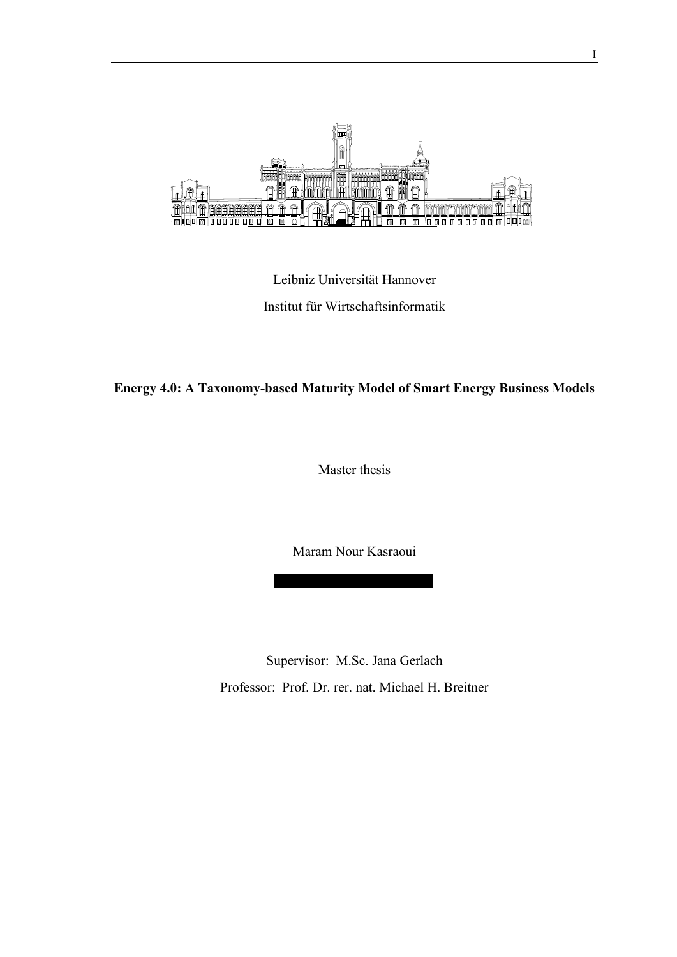

Leibniz Universität Hannover Institut für Wirtschaftsinformatik

# **Energy 4.0: A Taxonomy-based Maturity Model of Smart Energy Business Models**

Master thesis

Maram Nour Kasraoui

Supervisor: M.Sc. Jana Gerlach Professor: Prof. Dr. rer. nat. Michael H. Breitner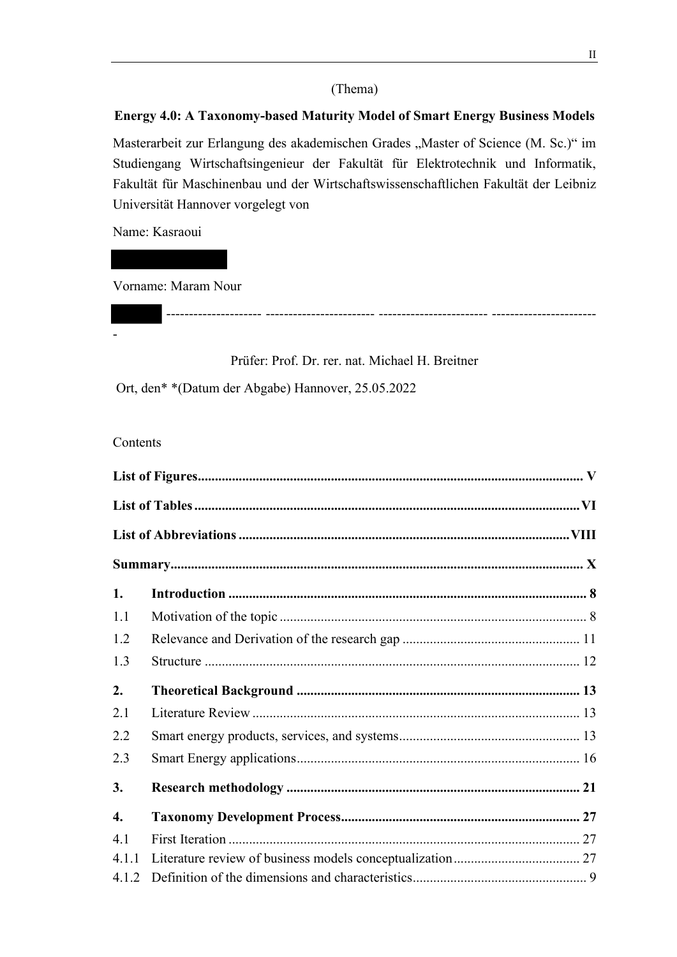# (Thema)

# **Energy 4.0: A Taxonomy-based Maturity Model of Smart Energy Business Models**

Masterarbeit zur Erlangung des akademischen Grades "Master of Science (M. Sc.)" im Studiengang Wirtschaftsingenieur der Fakultät für Elektrotechnik und Informatik, Fakultät für Maschinenbau und der Wirtschaftswissenschaftlichen Fakultät der Leibniz Universität Hannover vorgelegt von

Name: Kasraoui

Vorname: Maram Nour

Prüfer: Prof. Dr. rer. nat. Michael H. Breitner

--------------------- ------------------------ ------------------------ -----------------------

Ort, den\* \*(Datum der Abgabe) Hannover, 25.05.2022

Contents

-

| 1.               |  |
|------------------|--|
| 1.1              |  |
| 1.2              |  |
| 1.3              |  |
| 2.               |  |
| 2.1              |  |
| 2.2              |  |
| 2.3              |  |
| 3.               |  |
| $\overline{4}$ . |  |
| 4.1              |  |
| 4.1.1            |  |
| 4.1.2            |  |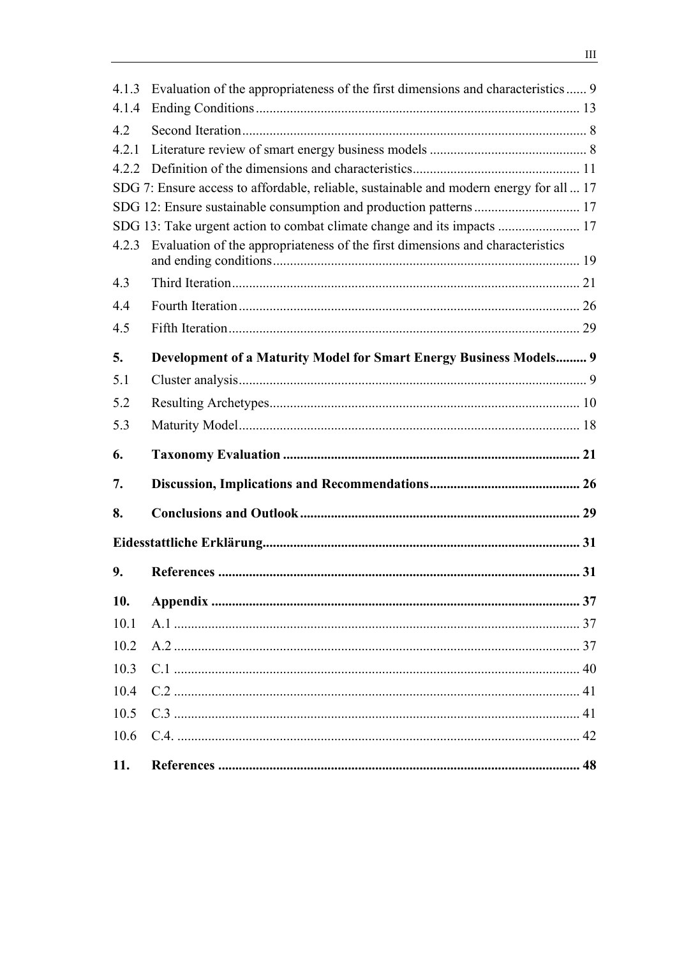| 10.<br>10.1<br>10.2<br>10.3<br>10.4<br>10.5<br>10.6 |                                                                                                                                                               |  |  |
|-----------------------------------------------------|---------------------------------------------------------------------------------------------------------------------------------------------------------------|--|--|
|                                                     |                                                                                                                                                               |  |  |
|                                                     |                                                                                                                                                               |  |  |
|                                                     |                                                                                                                                                               |  |  |
|                                                     |                                                                                                                                                               |  |  |
|                                                     |                                                                                                                                                               |  |  |
|                                                     |                                                                                                                                                               |  |  |
|                                                     |                                                                                                                                                               |  |  |
| 9.                                                  |                                                                                                                                                               |  |  |
|                                                     |                                                                                                                                                               |  |  |
|                                                     |                                                                                                                                                               |  |  |
| 8.                                                  |                                                                                                                                                               |  |  |
| 7.                                                  |                                                                                                                                                               |  |  |
| 6.                                                  |                                                                                                                                                               |  |  |
| 5.3                                                 |                                                                                                                                                               |  |  |
| 5.2                                                 |                                                                                                                                                               |  |  |
| 5.1                                                 |                                                                                                                                                               |  |  |
| 5.                                                  | Development of a Maturity Model for Smart Energy Business Models 9                                                                                            |  |  |
| 4.5                                                 |                                                                                                                                                               |  |  |
| 4.4                                                 |                                                                                                                                                               |  |  |
| 4.3                                                 |                                                                                                                                                               |  |  |
| 4.2.3                                               | Evaluation of the appropriateness of the first dimensions and characteristics                                                                                 |  |  |
|                                                     | SDG 13: Take urgent action to combat climate change and its impacts  17                                                                                       |  |  |
|                                                     | SDG 7: Ensure access to affordable, reliable, sustainable and modern energy for all  17<br>SDG 12: Ensure sustainable consumption and production patterns  17 |  |  |
| 4.2.2                                               |                                                                                                                                                               |  |  |
| 4.2.1                                               |                                                                                                                                                               |  |  |
| 4.2                                                 |                                                                                                                                                               |  |  |
|                                                     |                                                                                                                                                               |  |  |
| 4.1.4                                               |                                                                                                                                                               |  |  |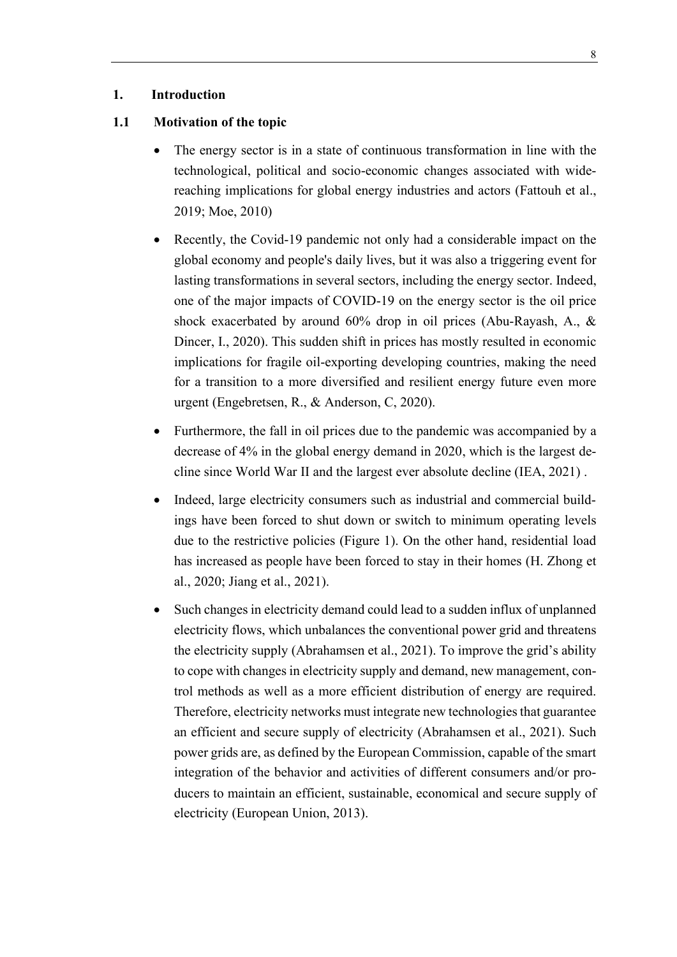## <span id="page-3-0"></span>**1. Introduction**

#### <span id="page-3-1"></span>**1.1 Motivation of the topic**

- The energy sector is in a state of continuous transformation in line with the technological, political and socio-economic changes associated with widereaching implications for global energy industries and actors (Fattouh et al., 2019; Moe, 2010)
- Recently, the Covid-19 pandemic not only had a considerable impact on the global economy and people's daily lives, but it was also a triggering event for lasting transformations in several sectors, including the energy sector. Indeed, one of the major impacts of COVID-19 on the energy sector is the oil price shock exacerbated by around 60% drop in oil prices (Abu-Rayash, A., & Dincer, I., 2020). This sudden shift in prices has mostly resulted in economic implications for fragile oil-exporting developing countries, making the need for a transition to a more diversified and resilient energy future even more urgent (Engebretsen, R., & Anderson, C, 2020).
- Furthermore, the fall in oil prices due to the pandemic was accompanied by a decrease of 4% in the global energy demand in 2020, which is the largest decline since World War II and the largest ever absolute decline (IEA, 2021) .
- Indeed, large electricity consumers such as industrial and commercial buildings have been forced to shut down or switch to minimum operating levels due to the restrictive policies (Figure 1). On the other hand, residential load has increased as people have been forced to stay in their homes (H. Zhong et al., 2020; Jiang et al., 2021).
- Such changes in electricity demand could lead to a sudden influx of unplanned electricity flows, which unbalances the conventional power grid and threatens the electricity supply (Abrahamsen et al., 2021). To improve the grid's ability to cope with changes in electricity supply and demand, new management, control methods as well as a more efficient distribution of energy are required. Therefore, electricity networks must integrate new technologies that guarantee an efficient and secure supply of electricity (Abrahamsen et al., 2021). Such power grids are, as defined by the European Commission, capable of the smart integration of the behavior and activities of different consumers and/or producers to maintain an efficient, sustainable, economical and secure supply of electricity (European Union, 2013).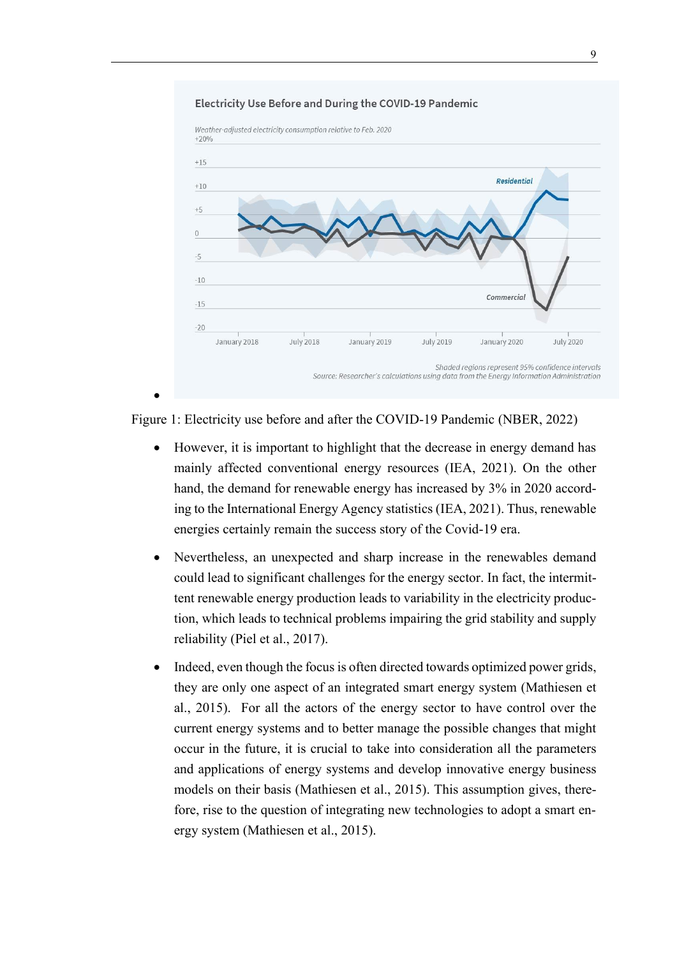#### Electricity Use Before and During the COVID-19 Pandemic



Figure 1: Electricity use before and after the COVID-19 Pandemic (NBER, 2022)

- However, it is important to highlight that the decrease in energy demand has mainly affected conventional energy resources (IEA, 2021). On the other hand, the demand for renewable energy has increased by 3% in 2020 according to the International Energy Agency statistics (IEA, 2021). Thus, renewable energies certainly remain the success story of the Covid-19 era.
- Nevertheless, an unexpected and sharp increase in the renewables demand could lead to significant challenges for the energy sector. In fact, the intermittent renewable energy production leads to variability in the electricity production, which leads to technical problems impairing the grid stability and supply reliability (Piel et al., 2017).
- Indeed, even though the focus is often directed towards optimized power grids, they are only one aspect of an integrated smart energy system (Mathiesen et al., 2015). For all the actors of the energy sector to have control over the current energy systems and to better manage the possible changes that might occur in the future, it is crucial to take into consideration all the parameters and applications of energy systems and develop innovative energy business models on their basis (Mathiesen et al., 2015). This assumption gives, therefore, rise to the question of integrating new technologies to adopt a smart energy system (Mathiesen et al., 2015).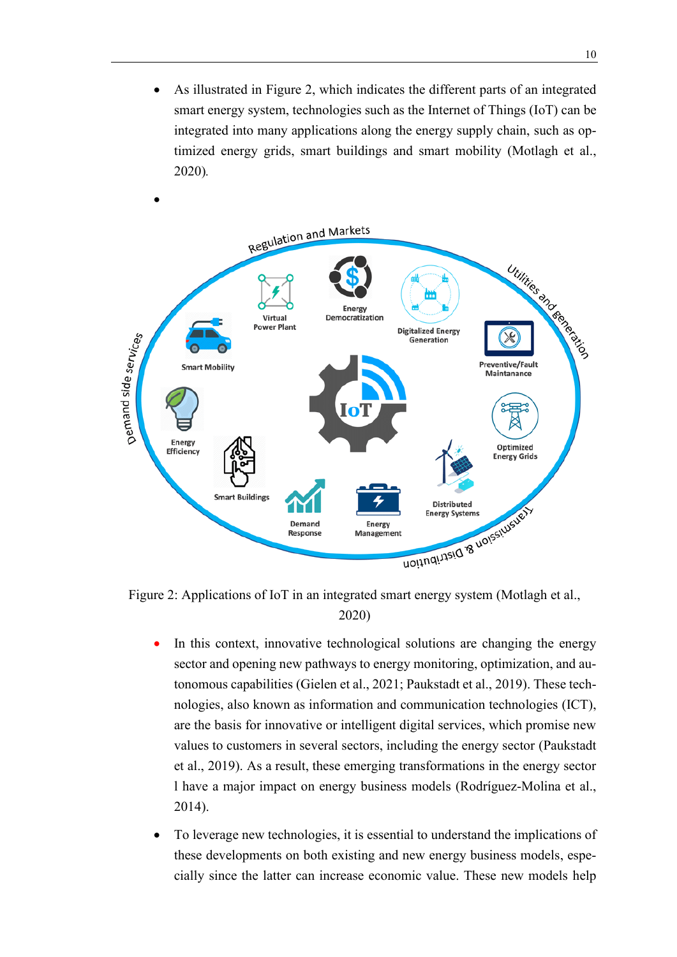As illustrated in Figure 2, which indicates the different parts of an integrated smart energy system, technologies such as the Internet of Things (IoT) can be integrated into many applications along the energy supply chain, such as optimized energy grids, smart buildings and smart mobility (Motlagh et al., 2020)*.*



Figure 2: Applications of IoT in an integrated smart energy system (Motlagh et al., 2020)

- In this context, innovative technological solutions are changing the energy sector and opening new pathways to energy monitoring, optimization, and autonomous capabilities (Gielen et al., 2021; Paukstadt et al., 2019). These technologies, also known as information and communication technologies (ICT), are the basis for innovative or intelligent digital services, which promise new values to customers in several sectors, including the energy sector (Paukstadt et al., 2019). As a result, these emerging transformations in the energy sector l have a major impact on energy business models (Rodríguez-Molina et al., 2014).
- To leverage new technologies, it is essential to understand the implications of these developments on both existing and new energy business models, especially since the latter can increase economic value. These new models help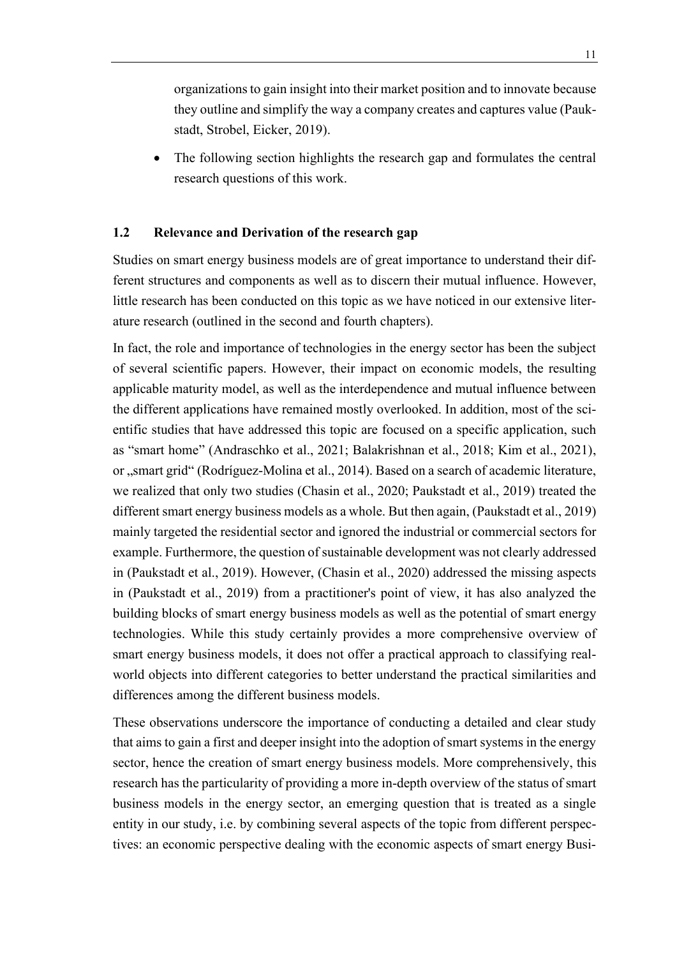organizations to gain insight into their market position and to innovate because they outline and simplify the way a company creates and captures value (Paukstadt, Strobel, Eicker, 2019).

• The following section highlights the research gap and formulates the central research questions of this work.

## <span id="page-6-0"></span>**1.2 Relevance and Derivation of the research gap**

Studies on smart energy business models are of great importance to understand their different structures and components as well as to discern their mutual influence. However, little research has been conducted on this topic as we have noticed in our extensive literature research (outlined in the second and fourth chapters).

In fact, the role and importance of technologies in the energy sector has been the subject of several scientific papers. However, their impact on economic models, the resulting applicable maturity model, as well as the interdependence and mutual influence between the different applications have remained mostly overlooked. In addition, most of the scientific studies that have addressed this topic are focused on a specific application, such as "smart home" (Andraschko et al., 2021; Balakrishnan et al., 2018; Kim et al., 2021), or "smart grid" (Rodríguez-Molina et al., 2014). Based on a search of academic literature, we realized that only two studies (Chasin et al., 2020; Paukstadt et al., 2019) treated the different smart energy business models as a whole. But then again, (Paukstadt et al., 2019) mainly targeted the residential sector and ignored the industrial or commercial sectors for example. Furthermore, the question of sustainable development was not clearly addressed in (Paukstadt et al., 2019). However, (Chasin et al., 2020) addressed the missing aspects in (Paukstadt et al., 2019) from a practitioner's point of view, it has also analyzed the building blocks of smart energy business models as well as the potential of smart energy technologies. While this study certainly provides a more comprehensive overview of smart energy business models, it does not offer a practical approach to classifying realworld objects into different categories to better understand the practical similarities and differences among the different business models.

These observations underscore the importance of conducting a detailed and clear study that aims to gain a first and deeper insight into the adoption of smart systems in the energy sector, hence the creation of smart energy business models. More comprehensively, this research has the particularity of providing a more in-depth overview of the status of smart business models in the energy sector, an emerging question that is treated as a single entity in our study, i.e. by combining several aspects of the topic from different perspectives: an economic perspective dealing with the economic aspects of smart energy Busi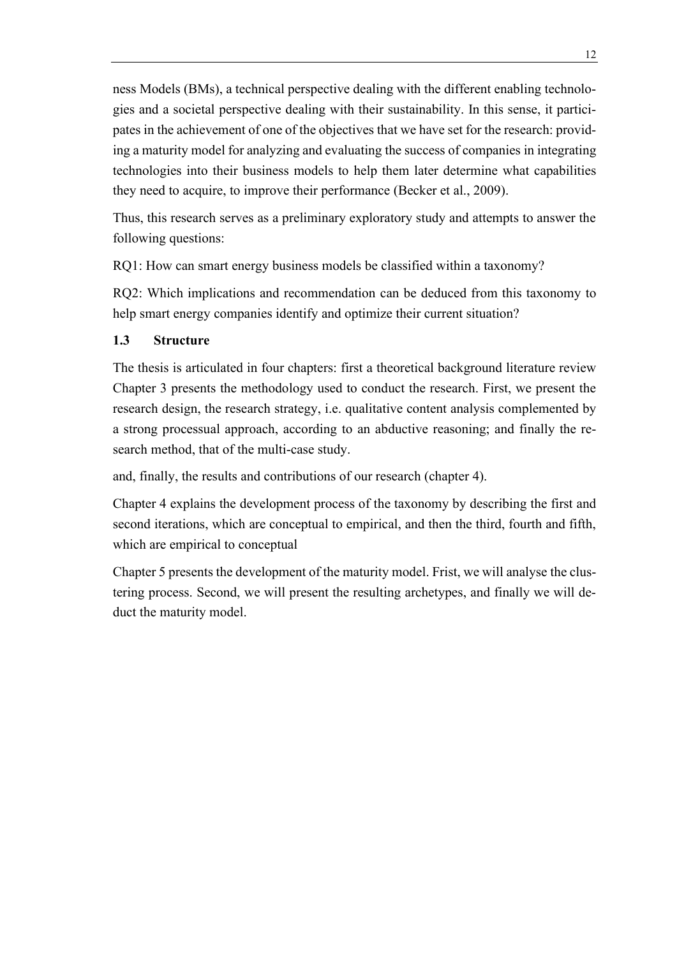ness Models (BMs), a technical perspective dealing with the different enabling technologies and a societal perspective dealing with their sustainability. In this sense, it participates in the achievement of one of the objectives that we have set for the research: providing a maturity model for analyzing and evaluating the success of companies in integrating technologies into their business models to help them later determine what capabilities they need to acquire, to improve their performance (Becker et al., 2009).

Thus, this research serves as a preliminary exploratory study and attempts to answer the following questions:

RQ1: How can smart energy business models be classified within a taxonomy?

RQ2: Which implications and recommendation can be deduced from this taxonomy to help smart energy companies identify and optimize their current situation?

# <span id="page-7-0"></span>**1.3 Structure**

The thesis is articulated in four chapters: first a theoretical background literature review Chapter 3 presents the methodology used to conduct the research. First, we present the research design, the research strategy, i.e. qualitative content analysis complemented by a strong processual approach, according to an abductive reasoning; and finally the research method, that of the multi-case study.

and, finally, the results and contributions of our research (chapter 4).

Chapter 4 explains the development process of the taxonomy by describing the first and second iterations, which are conceptual to empirical, and then the third, fourth and fifth, which are empirical to conceptual

Chapter 5 presents the development of the maturity model. Frist, we will analyse the clustering process. Second, we will present the resulting archetypes, and finally we will deduct the maturity model.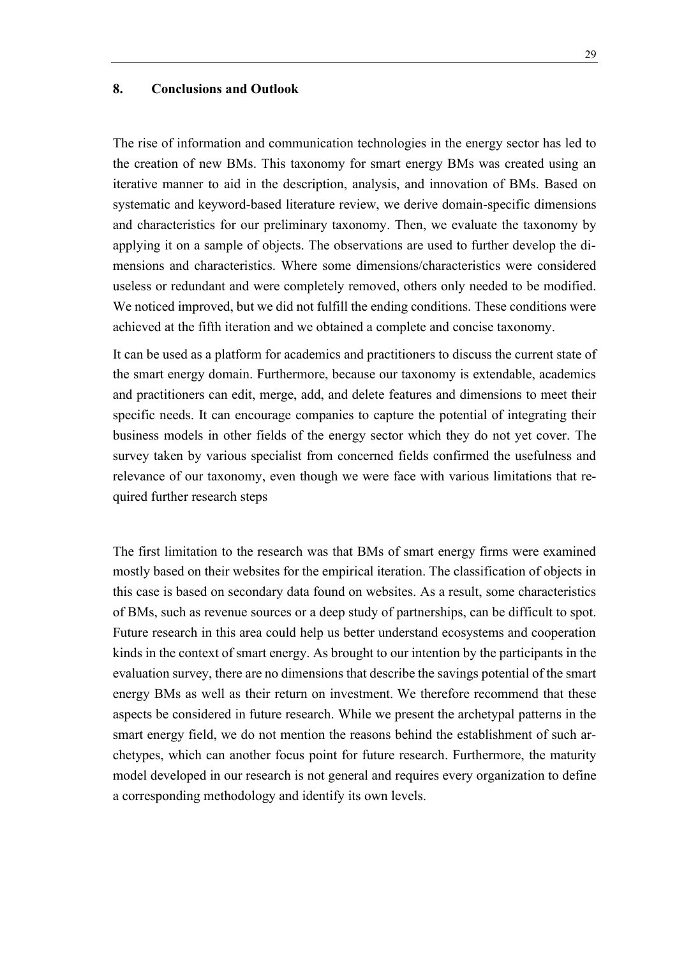## <span id="page-8-0"></span>**8. Conclusions and Outlook**

The rise of information and communication technologies in the energy sector has led to the creation of new BMs. This taxonomy for smart energy BMs was created using an iterative manner to aid in the description, analysis, and innovation of BMs. Based on systematic and keyword-based literature review, we derive domain-specific dimensions and characteristics for our preliminary taxonomy. Then, we evaluate the taxonomy by applying it on a sample of objects. The observations are used to further develop the dimensions and characteristics. Where some dimensions/characteristics were considered useless or redundant and were completely removed, others only needed to be modified. We noticed improved, but we did not fulfill the ending conditions. These conditions were achieved at the fifth iteration and we obtained a complete and concise taxonomy.

It can be used as a platform for academics and practitioners to discuss the current state of the smart energy domain. Furthermore, because our taxonomy is extendable, academics and practitioners can edit, merge, add, and delete features and dimensions to meet their specific needs. It can encourage companies to capture the potential of integrating their business models in other fields of the energy sector which they do not yet cover. The survey taken by various specialist from concerned fields confirmed the usefulness and relevance of our taxonomy, even though we were face with various limitations that required further research steps

The first limitation to the research was that BMs of smart energy firms were examined mostly based on their websites for the empirical iteration. The classification of objects in this case is based on secondary data found on websites. As a result, some characteristics of BMs, such as revenue sources or a deep study of partnerships, can be difficult to spot. Future research in this area could help us better understand ecosystems and cooperation kinds in the context of smart energy. As brought to our intention by the participants in the evaluation survey, there are no dimensions that describe the savings potential of the smart energy BMs as well as their return on investment. We therefore recommend that these aspects be considered in future research. While we present the archetypal patterns in the smart energy field, we do not mention the reasons behind the establishment of such archetypes, which can another focus point for future research. Furthermore, the maturity model developed in our research is not general and requires every organization to define a corresponding methodology and identify its own levels.